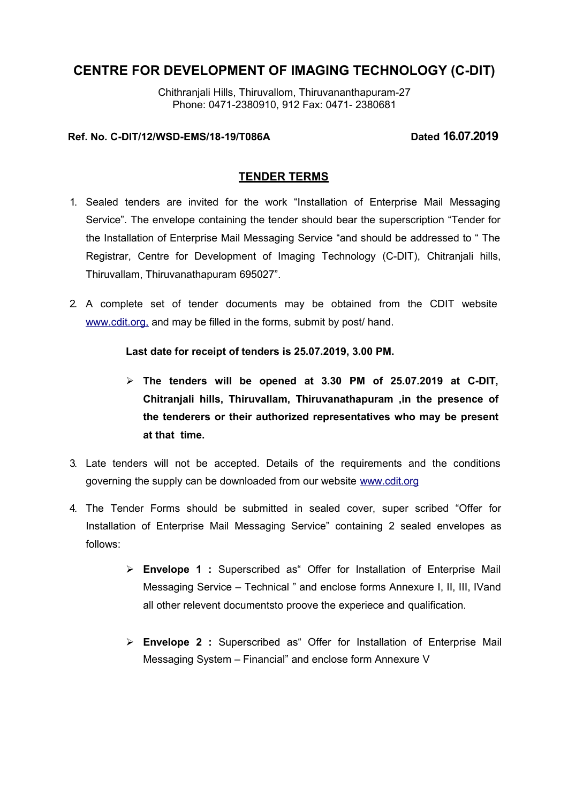Chithranjali Hills, Thiruvallom, Thiruvananthapuram-27 Phone: 0471-2380910, 912 Fax: 0471- 2380681

# **Ref. No. C-DIT/12/WSD-EMS/18-19/T086A Dated 16.07.2019**

### **TENDER TERMS**

- 1. Sealed tenders are invited for the work "Installation of Enterprise Mail Messaging Service". The envelope containing the tender should bear the superscription "Tender for the Installation of Enterprise Mail Messaging Service "and should be addressed to " The Registrar, Centre for Development of Imaging Technology (C-DIT), Chitranjali hills, Thiruvallam, Thiruvanathapuram 695027".
- 2. A complete set of tender documents may be obtained from the CDIT website [www.cdit.org,](http://www.cdit.org/) and may be filled in the forms, submit by post/ hand.

### **Last date for receipt of tenders is 25.07.2019, 3.00 PM.**

- **The tenders will be opened at 3.30 PM of 25.07.2019 at C-DIT, Chitranjali hills, Thiruvallam, Thiruvanathapuram ,in the presence of the tenderers or their authorized representatives who may be present at that time.**
- 3. Late tenders will not be accepted. Details of the requirements and the conditions governing the supply can be downloaded from our website [www.cdit.org](http://www.cdit.org/)
- 4. The Tender Forms should be submitted in sealed cover, super scribed "Offer for Installation of Enterprise Mail Messaging Service" containing 2 sealed envelopes as follows:
	- **Envelope 1 :** Superscribed as" Offer for Installation of Enterprise Mail Messaging Service – Technical " and enclose forms Annexure I, II, III, IVand all other relevent documentsto proove the experiece and qualification.
	- **Envelope 2 :** Superscribed as" Offer for Installation of Enterprise Mail Messaging System – Financial" and enclose form Annexure V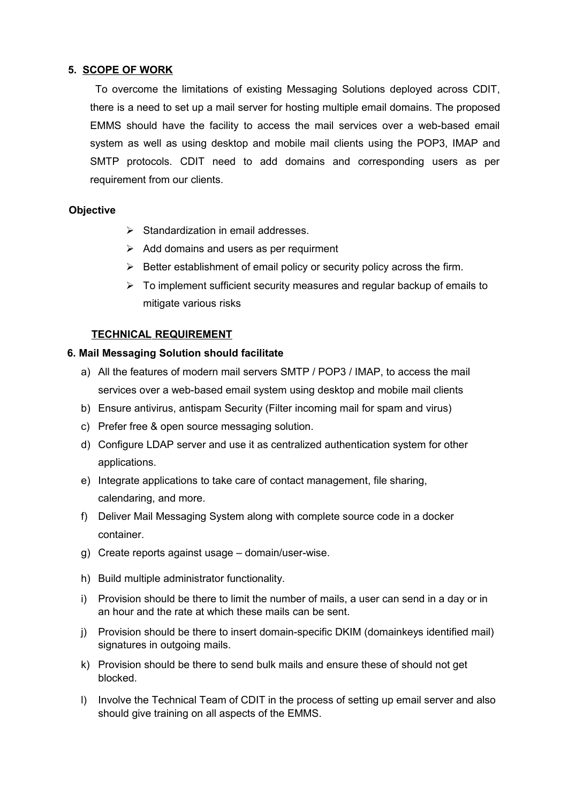### **5. SCOPE OF WORK**

 To overcome the limitations of existing Messaging Solutions deployed across CDIT, there is a need to set up a mail server for hosting multiple email domains. The proposed EMMS should have the facility to access the mail services over a web-based email system as well as using desktop and mobile mail clients using the POP3, IMAP and SMTP protocols. CDIT need to add domains and corresponding users as per requirement from our clients.

# **Objective**

- $\triangleright$  Standardization in email addresses.
- $\triangleright$  Add domains and users as per requirment
- $\triangleright$  Better establishment of email policy or security policy across the firm.
- $\triangleright$  To implement sufficient security measures and regular backup of emails to mitigate various risks

# **TECHNICAL REQUIREMENT**

### **6. Mail Messaging Solution should facilitate**

- a) All the features of modern mail servers SMTP / POP3 / IMAP, to access the mail services over a web-based email system using desktop and mobile mail clients
- b) Ensure antivirus, antispam Security (Filter incoming mail for spam and virus)
- c) Prefer free & open source messaging solution.
- d) Configure LDAP server and use it as centralized authentication system for other applications.
- e) Integrate applications to take care of contact management, file sharing, calendaring, and more.
- f) Deliver Mail Messaging System along with complete source code in a docker container.
- g) Create reports against usage domain/user-wise.
- h) Build multiple administrator functionality.
- i) Provision should be there to limit the number of mails, a user can send in a day or in an hour and the rate at which these mails can be sent.
- j) Provision should be there to insert domain-specific DKIM (domainkeys identified mail) signatures in outgoing mails.
- k) Provision should be there to send bulk mails and ensure these of should not get blocked.
- l) Involve the Technical Team of CDIT in the process of setting up email server and also should give training on all aspects of the EMMS.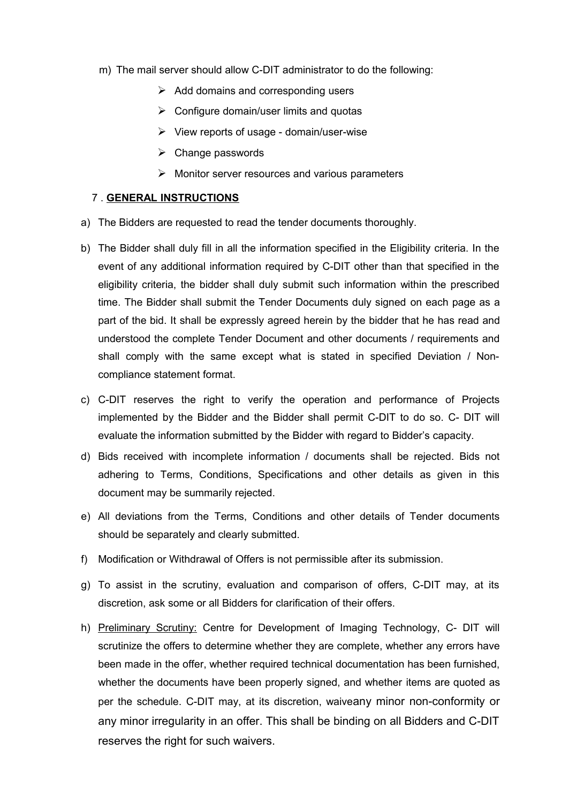- m) The mail server should allow C-DIT administrator to do the following:
	- $\triangleright$  Add domains and corresponding users
	- $\triangleright$  Configure domain/user limits and quotas
	- $\triangleright$  View reports of usage domain/user-wise
	- $\triangleright$  Change passwords
	- $\triangleright$  Monitor server resources and various parameters

#### 7 . **GENERAL INSTRUCTIONS**

- a) The Bidders are requested to read the tender documents thoroughly.
- b) The Bidder shall duly fill in all the information specified in the Eligibility criteria. In the event of any additional information required by C-DIT other than that specified in the eligibility criteria, the bidder shall duly submit such information within the prescribed time. The Bidder shall submit the Tender Documents duly signed on each page as a part of the bid. It shall be expressly agreed herein by the bidder that he has read and understood the complete Tender Document and other documents / requirements and shall comply with the same except what is stated in specified Deviation / Noncompliance statement format.
- c) C-DIT reserves the right to verify the operation and performance of Projects implemented by the Bidder and the Bidder shall permit C-DIT to do so. C- DIT will evaluate the information submitted by the Bidder with regard to Bidder's capacity.
- d) Bids received with incomplete information / documents shall be rejected. Bids not adhering to Terms, Conditions, Specifications and other details as given in this document may be summarily rejected.
- e) All deviations from the Terms, Conditions and other details of Tender documents should be separately and clearly submitted.
- f) Modification or Withdrawal of Offers is not permissible after its submission.
- g) To assist in the scrutiny, evaluation and comparison of offers, C-DIT may, at its discretion, ask some or all Bidders for clarification of their offers.
- h) Preliminary Scrutiny: Centre for Development of Imaging Technology, C- DIT will scrutinize the offers to determine whether they are complete, whether any errors have been made in the offer, whether required technical documentation has been furnished, whether the documents have been properly signed, and whether items are quoted as per the schedule. C-DIT may, at its discretion, waiveany minor non-conformity or any minor irregularity in an offer. This shall be binding on all Bidders and C-DIT reserves the right for such waivers.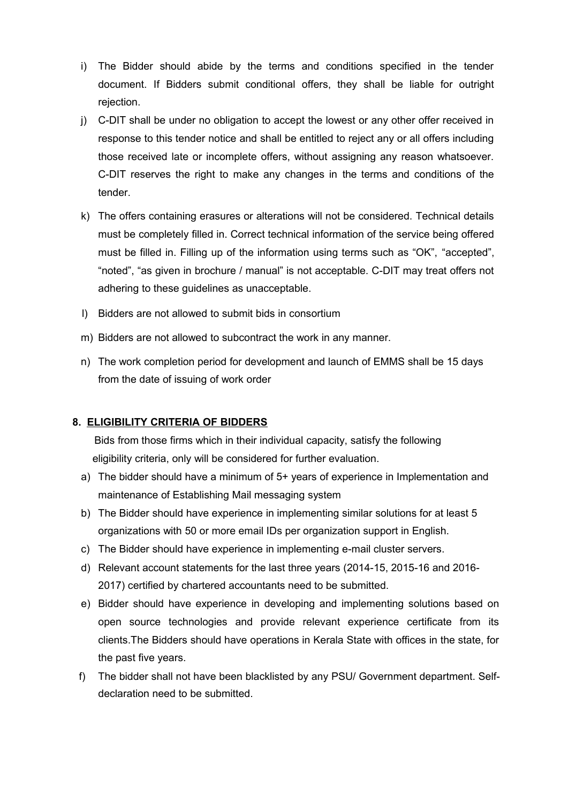- i) The Bidder should abide by the terms and conditions specified in the tender document. If Bidders submit conditional offers, they shall be liable for outright rejection.
- j) C-DIT shall be under no obligation to accept the lowest or any other offer received in response to this tender notice and shall be entitled to reject any or all offers including those received late or incomplete offers, without assigning any reason whatsoever. C-DIT reserves the right to make any changes in the terms and conditions of the tender.
- k) The offers containing erasures or alterations will not be considered. Technical details must be completely filled in. Correct technical information of the service being offered must be filled in. Filling up of the information using terms such as "OK", "accepted", "noted", "as given in brochure / manual" is not acceptable. C-DIT may treat offers not adhering to these guidelines as unacceptable.
- l) Bidders are not allowed to submit bids in consortium
- m) Bidders are not allowed to subcontract the work in any manner.
- n) The work completion period for development and launch of EMMS shall be 15 days from the date of issuing of work order

# **8. ELIGIBILITY CRITERIA OF BIDDERS**

 Bids from those firms which in their individual capacity, satisfy the following eligibility criteria, only will be considered for further evaluation.

- a) The bidder should have a minimum of 5+ years of experience in Implementation and maintenance of Establishing Mail messaging system
- b) The Bidder should have experience in implementing similar solutions for at least 5 organizations with 50 or more email IDs per organization support in English.
- c) The Bidder should have experience in implementing e-mail cluster servers.
- d) Relevant account statements for the last three years (2014-15, 2015-16 and 2016- 2017) certified by chartered accountants need to be submitted.
- e) Bidder should have experience in developing and implementing solutions based on open source technologies and provide relevant experience certificate from its clients.The Bidders should have operations in Kerala State with offices in the state, for the past five years.
- f) The bidder shall not have been blacklisted by any PSU/ Government department. Selfdeclaration need to be submitted.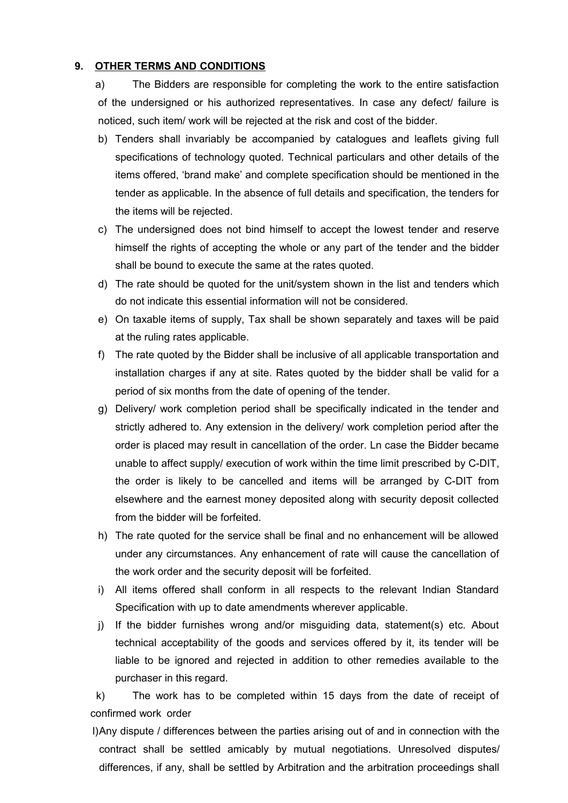#### **9. OTHER TERMS AND CONDITIONS**

a) The Bidders are responsible for completing the work to the entire satisfaction of the undersigned or his authorized representatives. In case any defect/ failure is noticed, such item/ work will be rejected at the risk and cost of the bidder.

- b) Tenders shall invariably be accompanied by catalogues and leaflets giving full specifications of technology quoted. Technical particulars and other details of the items offered, 'brand make' and complete specification should be mentioned in the tender as applicable. In the absence of full details and specification, the tenders for the items will be rejected.
- c) The undersigned does not bind himself to accept the lowest tender and reserve himself the rights of accepting the whole or any part of the tender and the bidder shall be bound to execute the same at the rates quoted.
- d) The rate should be quoted for the unit/system shown in the list and tenders which do not indicate this essential information will not be considered.
- e) On taxable items of supply, Tax shall be shown separately and taxes will be paid at the ruling rates applicable.
- f) The rate quoted by the Bidder shall be inclusive of all applicable transportation and installation charges if any at site. Rates quoted by the bidder shall be valid for a period of six months from the date of opening of the tender.
- g) Delivery/ work completion period shall be specifically indicated in the tender and strictly adhered to. Any extension in the delivery/ work completion period after the order is placed may result in cancellation of the order. Ln case the Bidder became unable to affect supply/ execution of work within the time limit prescribed by C-DIT, the order is likely to be cancelled and items will be arranged by C-DIT from elsewhere and the earnest money deposited along with security deposit collected from the bidder will be forfeited.
- h) The rate quoted for the service shall be final and no enhancement will be allowed under any circumstances. Any enhancement of rate will cause the cancellation of the work order and the security deposit will be forfeited.
- i) All items offered shall conform in all respects to the relevant Indian Standard Specification with up to date amendments wherever applicable.
- j) If the bidder furnishes wrong and/or misguiding data, statement(s) etc. About technical acceptability of the goods and services offered by it, its tender will be liable to be ignored and rejected in addition to other remedies available to the purchaser in this regard.

k) The work has to be completed within 15 days from the date of receipt of confirmed work order

l)Any dispute / differences between the parties arising out of and in connection with the contract shall be settled amicably by mutual negotiations. Unresolved disputes/ differences, if any, shall be settled by Arbitration and the arbitration proceedings shall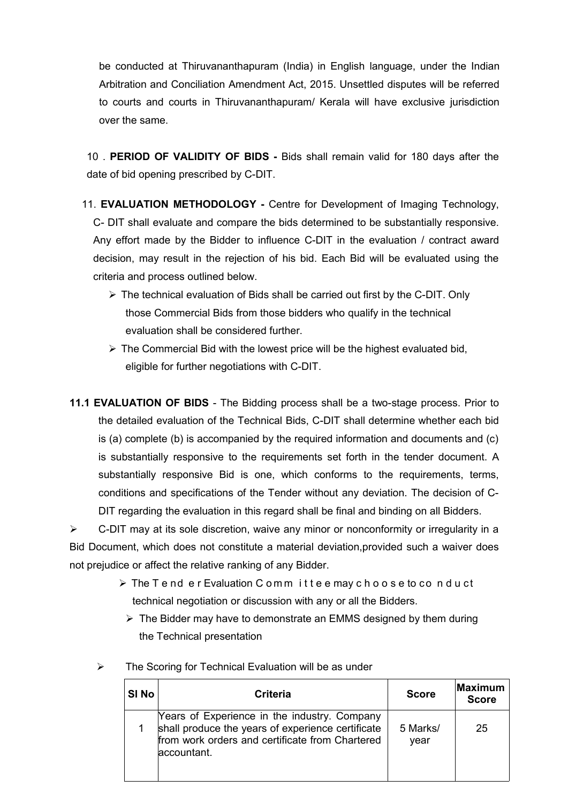be conducted at Thiruvananthapuram (India) in English language, under the Indian Arbitration and Conciliation Amendment Act, 2015. Unsettled disputes will be referred to courts and courts in Thiruvananthapuram/ Kerala will have exclusive jurisdiction over the same.

10 . **PERIOD OF VALIDITY OF BIDS -** Bids shall remain valid for 180 days after the date of bid opening prescribed by C-DIT.

- 11. **EVALUATION METHODOLOGY** Centre for Development of Imaging Technology, C- DIT shall evaluate and compare the bids determined to be substantially responsive. Any effort made by the Bidder to influence C-DIT in the evaluation / contract award decision, may result in the rejection of his bid. Each Bid will be evaluated using the criteria and process outlined below.
	- $\triangleright$  The technical evaluation of Bids shall be carried out first by the C-DIT. Only those Commercial Bids from those bidders who qualify in the technical evaluation shall be considered further.
	- $\triangleright$  The Commercial Bid with the lowest price will be the highest evaluated bid, eligible for further negotiations with C-DIT.
- **11.1 EVALUATION OF BIDS**  The Bidding process shall be a two-stage process. Prior to the detailed evaluation of the Technical Bids, C-DIT shall determine whether each bid is (a) complete (b) is accompanied by the required information and documents and (c) is substantially responsive to the requirements set forth in the tender document. A substantially responsive Bid is one, which conforms to the requirements, terms, conditions and specifications of the Tender without any deviation. The decision of C-DIT regarding the evaluation in this regard shall be final and binding on all Bidders.

 $\triangleright$  C-DIT may at its sole discretion, waive any minor or nonconformity or irregularity in a Bid Document, which does not constitute a material deviation,provided such a waiver does not prejudice or affect the relative ranking of any Bidder.

- $\triangleright$  The Tend er Evaluation Committee may choose to conduct technical negotiation or discussion with any or all the Bidders.
	- $\triangleright$  The Bidder may have to demonstrate an EMMS designed by them during the Technical presentation

| SI No | <b>Criteria</b>                                                                                                                                                     | <b>Score</b>     | Maximum<br><b>Score</b> |
|-------|---------------------------------------------------------------------------------------------------------------------------------------------------------------------|------------------|-------------------------|
|       | Years of Experience in the industry. Company<br>shall produce the years of experience certificate<br>from work orders and certificate from Chartered<br>accountant. | 5 Marks/<br>year | 25                      |

 $\triangleright$  The Scoring for Technical Evaluation will be as under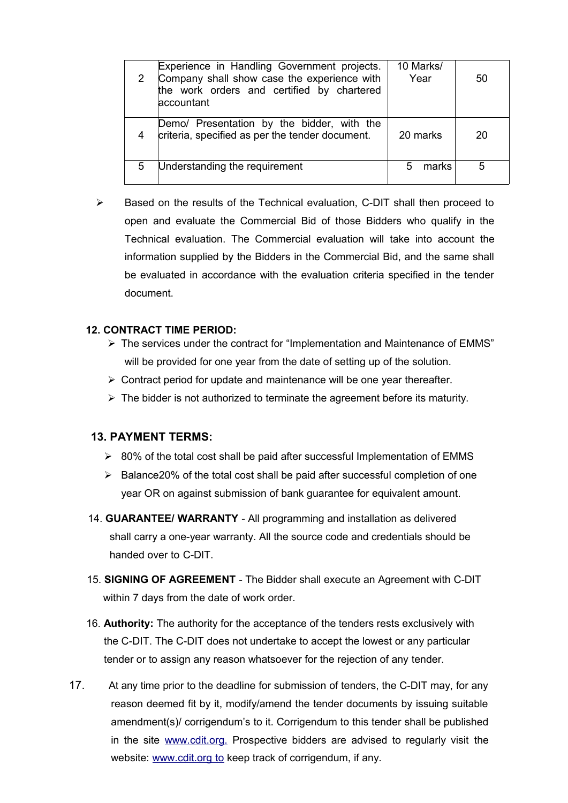|   | Experience in Handling Government projects.<br>Company shall show case the experience with<br>the work orders and certified by chartered<br>accountant | 10 Marks/<br>Year | 50 |
|---|--------------------------------------------------------------------------------------------------------------------------------------------------------|-------------------|----|
| 4 | Demo/ Presentation by the bidder, with the<br>criteria, specified as per the tender document.                                                          | 20 marks          | 20 |
| 5 | Understanding the requirement                                                                                                                          | marks             |    |

 $\triangleright$  Based on the results of the Technical evaluation, C-DIT shall then proceed to open and evaluate the Commercial Bid of those Bidders who qualify in the Technical evaluation. The Commercial evaluation will take into account the information supplied by the Bidders in the Commercial Bid, and the same shall be evaluated in accordance with the evaluation criteria specified in the tender document.

### **12. CONTRACT TIME PERIOD:**

- The services under the contract for "Implementation and Maintenance of EMMS" will be provided for one year from the date of setting up of the solution.
- $\triangleright$  Contract period for update and maintenance will be one year thereafter.
- $\triangleright$  The bidder is not authorized to terminate the agreement before its maturity.

# **13. PAYMENT TERMS:**

- $\geq$  80% of the total cost shall be paid after successful Implementation of EMMS
- $\triangleright$  Balance20% of the total cost shall be paid after successful completion of one year OR on against submission of bank guarantee for equivalent amount.
- 14. **GUARANTEE/ WARRANTY**  All programming and installation as delivered shall carry a one-year warranty. All the source code and credentials should be handed over to C-DIT.
- 15. **SIGNING OF AGREEMENT**  The Bidder shall execute an Agreement with C-DIT within 7 days from the date of work order.
- 16. **Authority:** The authority for the acceptance of the tenders rests exclusively with the C-DIT. The C-DIT does not undertake to accept the lowest or any particular tender or to assign any reason whatsoever for the rejection of any tender.
- 17. At any time prior to the deadline for submission of tenders, the C-DIT may, for any reason deemed fit by it, modify/amend the tender documents by issuing suitable amendment(s)/ corrigendum's to it. Corrigendum to this tender shall be published in the site [www.cdit.org.](http://www.cdit.org/) Prospective bidders are advised to regularly visit the website: [www.cdit.org to](http://www.cdit.org/) keep track of corrigendum, if any.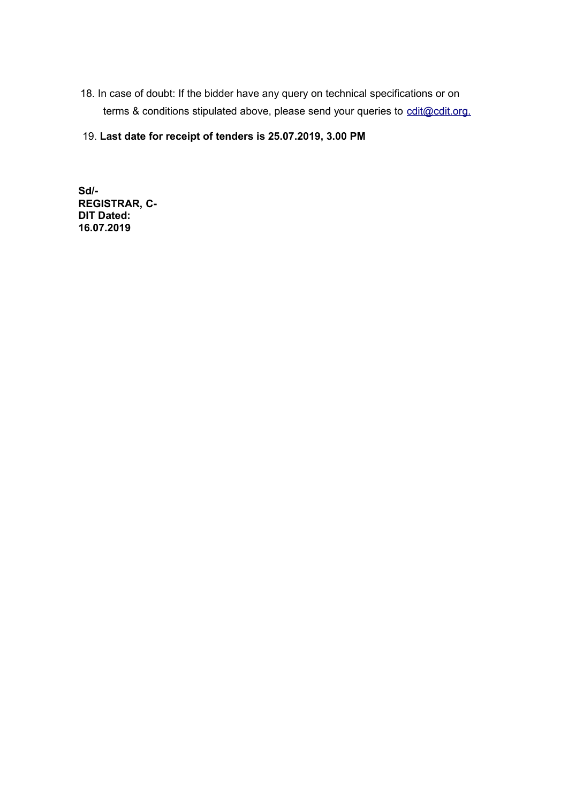- 18. In case of doubt: If the bidder have any query on technical specifications or on terms & conditions stipulated above, please send your queries to [cdit@cdit.org.](mailto:cdit@cdit.org)
- 19. **Last date for receipt of tenders is 25.07.2019, 3.00 PM**

**Sd/- REGISTRAR, C-DIT Dated: 16.07.2019**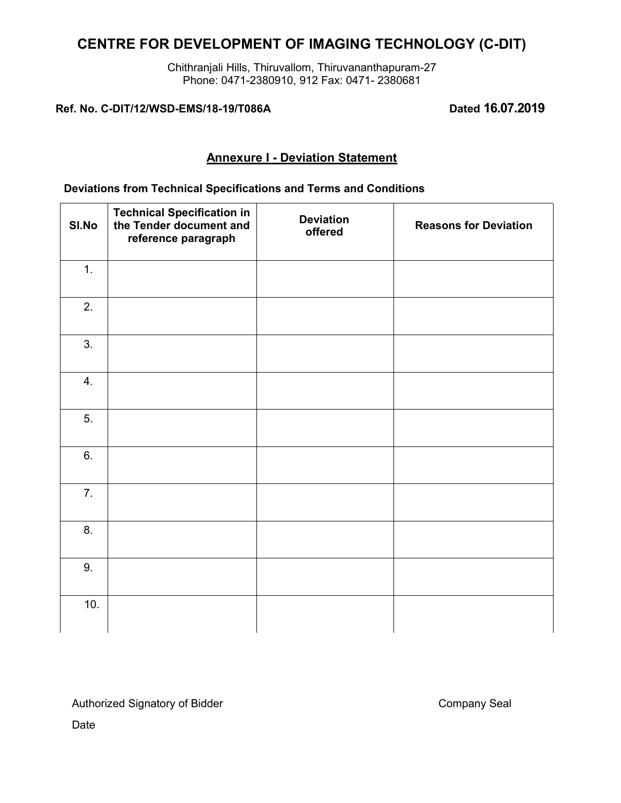Chithranjali Hills, Thiruvallom, Thiruvananthapuram-27 Phone: 0471-2380910, 912 Fax: 0471- 2380681

**Ref. No. C-DIT/12/WSD-EMS/18-19/T086A Dated 16.07.2019**

# **Annexure I - Deviation Statement**

### **Deviations from Technical Specifications and Terms and Conditions**

| SI.No | <b>Technical Specification in</b><br>the Tender document and<br>reference paragraph | <b>Deviation</b><br>offered | <b>Reasons for Deviation</b> |
|-------|-------------------------------------------------------------------------------------|-----------------------------|------------------------------|
| 1.    |                                                                                     |                             |                              |
| 2.    |                                                                                     |                             |                              |
| 3.    |                                                                                     |                             |                              |
| 4.    |                                                                                     |                             |                              |
| 5.    |                                                                                     |                             |                              |
| 6.    |                                                                                     |                             |                              |
| 7.    |                                                                                     |                             |                              |
| 8.    |                                                                                     |                             |                              |
| 9.    |                                                                                     |                             |                              |
| 10.   |                                                                                     |                             |                              |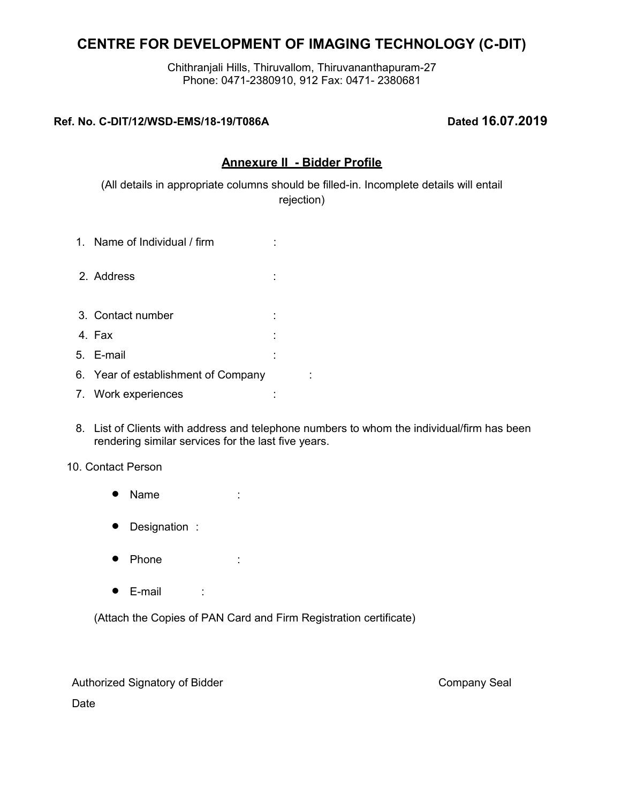Chithranjali Hills, Thiruvallom, Thiruvananthapuram-27 Phone: 0471-2380910, 912 Fax: 0471- 2380681

# **Ref. No. C-DIT/12/WSD-EMS/18-19/T086A Dated 16.07.2019**

# **Annexure II - Bidder Profile**

(All details in appropriate columns should be filled-in. Incomplete details will entail rejection)

- 1. Name of Individual / firm :
- 2. Address :
- 3. Contact number :
- 4. Fax :
- 5. E-mail :
- 6. Year of establishment of Company :
- 7. Work experiences :
- 8. List of Clients with address and telephone numbers to whom the individual/firm has been rendering similar services for the last five years.

### 10. Contact Person

- Name :
- Designation :
- Phone :
- $\bullet$  E-mail :

(Attach the Copies of PAN Card and Firm Registration certificate)

Authorized Signatory of Bidder Company Seal Company Seal Date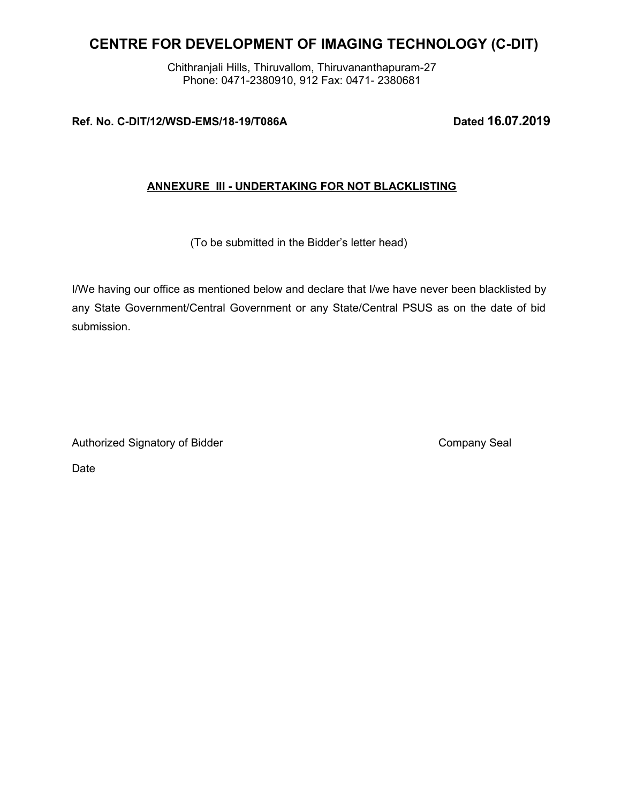Chithranjali Hills, Thiruvallom, Thiruvananthapuram-27 Phone: 0471-2380910, 912 Fax: 0471- 2380681

# **Ref. No. C-DIT/12/WSD-EMS/18-19/T086A Dated 16.07.2019**

# **ANNEXURE III - UNDERTAKING FOR NOT BLACKLISTING**

(To be submitted in the Bidder's letter head)

I/We having our office as mentioned below and declare that I/we have never been blacklisted by any State Government/Central Government or any State/Central PSUS as on the date of bid submission.

Authorized Signatory of Bidder Company Seal Company Seal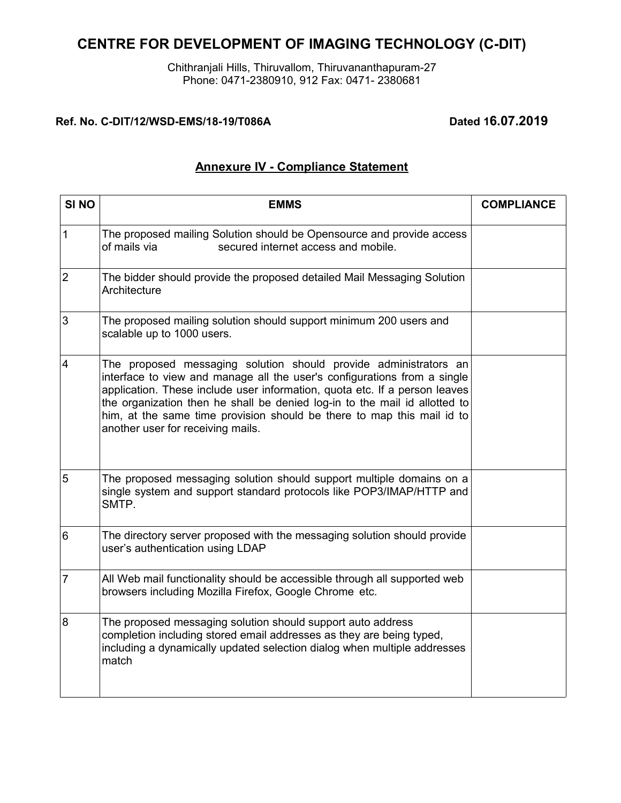Chithranjali Hills, Thiruvallom, Thiruvananthapuram-27 Phone: 0471-2380910, 912 Fax: 0471- 2380681

# **Ref. No. C-DIT/12/WSD-EMS/18-19/T086A Dated 16.07.2019**

# **Annexure IV - Compliance Statement**

| SI <sub>NO</sub> | <b>EMMS</b>                                                                                                                                                                                                                                                                                                                                                                                                             | <b>COMPLIANCE</b> |
|------------------|-------------------------------------------------------------------------------------------------------------------------------------------------------------------------------------------------------------------------------------------------------------------------------------------------------------------------------------------------------------------------------------------------------------------------|-------------------|
| 1                | The proposed mailing Solution should be Opensource and provide access<br>of mails via<br>secured internet access and mobile.                                                                                                                                                                                                                                                                                            |                   |
| $\overline{2}$   | The bidder should provide the proposed detailed Mail Messaging Solution<br>Architecture                                                                                                                                                                                                                                                                                                                                 |                   |
| 3                | The proposed mailing solution should support minimum 200 users and<br>scalable up to 1000 users.                                                                                                                                                                                                                                                                                                                        |                   |
| $\overline{4}$   | The proposed messaging solution should provide administrators an<br>interface to view and manage all the user's configurations from a single<br>application. These include user information, quota etc. If a person leaves<br>the organization then he shall be denied log-in to the mail id allotted to<br>him, at the same time provision should be there to map this mail id to<br>another user for receiving mails. |                   |
| 5                | The proposed messaging solution should support multiple domains on a<br>single system and support standard protocols like POP3/IMAP/HTTP and<br>SMTP.                                                                                                                                                                                                                                                                   |                   |
| $6\phantom{1}6$  | The directory server proposed with the messaging solution should provide<br>user's authentication using LDAP                                                                                                                                                                                                                                                                                                            |                   |
| 7                | All Web mail functionality should be accessible through all supported web<br>browsers including Mozilla Firefox, Google Chrome etc.                                                                                                                                                                                                                                                                                     |                   |
| 8                | The proposed messaging solution should support auto address<br>completion including stored email addresses as they are being typed,<br>including a dynamically updated selection dialog when multiple addresses<br>match                                                                                                                                                                                                |                   |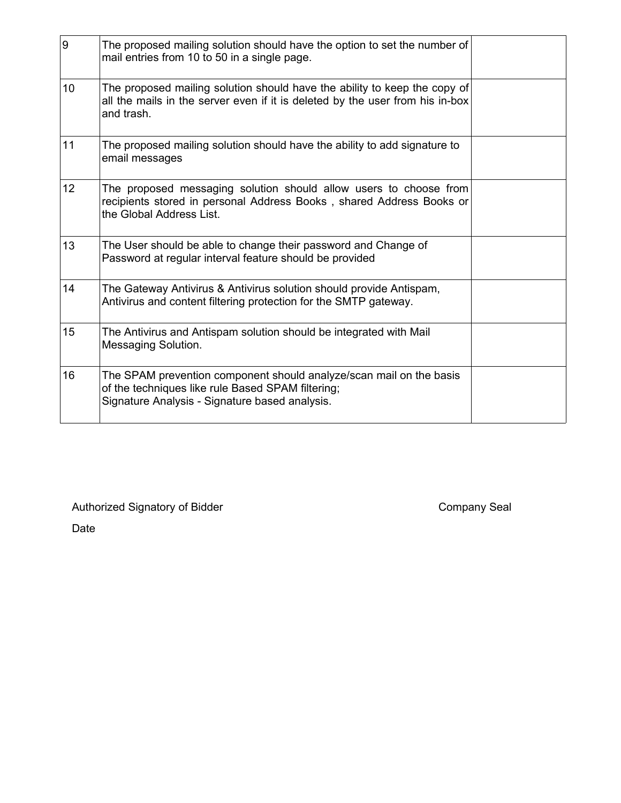| 9               | The proposed mailing solution should have the option to set the number of $\mid$<br>mail entries from 10 to 50 in a single page.                                           |  |
|-----------------|----------------------------------------------------------------------------------------------------------------------------------------------------------------------------|--|
| 10              | The proposed mailing solution should have the ability to keep the copy of<br>all the mails in the server even if it is deleted by the user from his in-box<br>and trash.   |  |
| 11              | The proposed mailing solution should have the ability to add signature to<br>email messages                                                                                |  |
| 12 <sup>2</sup> | The proposed messaging solution should allow users to choose from<br>recipients stored in personal Address Books, shared Address Books or<br>the Global Address List.      |  |
| 13              | The User should be able to change their password and Change of<br>Password at regular interval feature should be provided                                                  |  |
| 14              | The Gateway Antivirus & Antivirus solution should provide Antispam,<br>Antivirus and content filtering protection for the SMTP gateway.                                    |  |
| 15              | The Antivirus and Antispam solution should be integrated with Mail<br>Messaging Solution.                                                                                  |  |
| 16              | The SPAM prevention component should analyze/scan mail on the basis<br>of the techniques like rule Based SPAM filtering;<br>Signature Analysis - Signature based analysis. |  |

Authorized Signatory of Bidder Company Seal